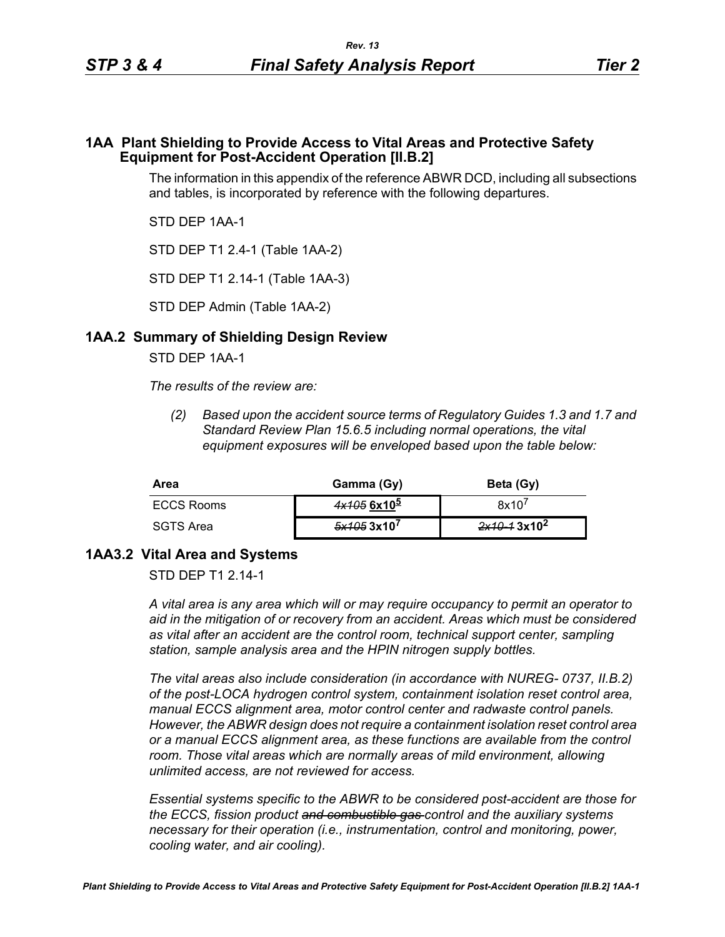## **1AA Plant Shielding to Provide Access to Vital Areas and Protective Safety Equipment for Post-Accident Operation [II.B.2]**

The information in this appendix of the reference ABWR DCD, including all subsections and tables, is incorporated by reference with the following departures.

STD DEP 1AA-1

STD DEP T1 2.4-1 (Table 1AA-2)

STD DEP T1 2.14-1 (Table 1AA-3)

STD DEP Admin (Table 1AA-2)

## **1AA.2 Summary of Shielding Design Review**

STD DEP 1AA-1

*The results of the review are:*

*(2) Based upon the accident source terms of Regulatory Guides 1.3 and 1.7 and Standard Review Plan 15.6.5 including normal operations, the vital equipment exposures will be enveloped based upon the table below:*

| Area       | Gamma (Gy)    | Beta (Gy)               |
|------------|---------------|-------------------------|
| ECCS Rooms | $4x1056x10^5$ | 8x10'                   |
| SGTS Area  | 5x1053x10'    | 2x10-13x10 <sup>2</sup> |

## **1AA3.2 Vital Area and Systems**

STD DFP T1 2 14-1

*A vital area is any area which will or may require occupancy to permit an operator to aid in the mitigation of or recovery from an accident. Areas which must be considered as vital after an accident are the control room, technical support center, sampling station, sample analysis area and the HPIN nitrogen supply bottles.* 

*The vital areas also include consideration (in accordance with NUREG- 0737, II.B.2) of the post-LOCA hydrogen control system, containment isolation reset control area, manual ECCS alignment area, motor control center and radwaste control panels. However, the ABWR design does not require a containment isolation reset control area or a manual ECCS alignment area, as these functions are available from the control room. Those vital areas which are normally areas of mild environment, allowing unlimited access, are not reviewed for access.* 

*Essential systems specific to the ABWR to be considered post-accident are those for the ECCS, fission product and combustible gas control and the auxiliary systems necessary for their operation (i.e., instrumentation, control and monitoring, power, cooling water, and air cooling).*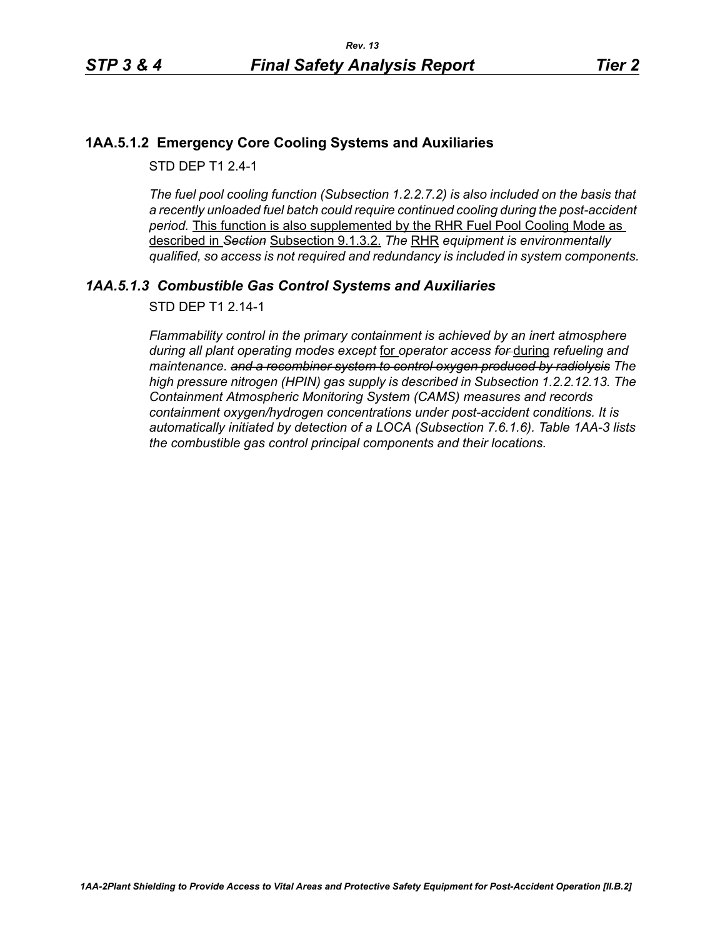# **1AA.5.1.2 Emergency Core Cooling Systems and Auxiliaries**

STD DFP T1 2 4-1

*The fuel pool cooling function (Subsection 1.2.2.7.2) is also included on the basis that a recently unloaded fuel batch could require continued cooling during the post-accident period.* This function is also supplemented by the RHR Fuel Pool Cooling Mode as described in *Section* Subsection 9.1.3.2. *The* RHR *equipment is environmentally qualified, so access is not required and redundancy is included in system components.*

# *1AA.5.1.3 Combustible Gas Control Systems and Auxiliaries*

STD DEP T1 2.14-1

*Flammability control in the primary containment is achieved by an inert atmosphere during all plant operating modes except* for *operator access for* during *refueling and maintenance. and a recombiner system to control oxygen produced by radiolysis The high pressure nitrogen (HPIN) gas supply is described in Subsection 1.2.2.12.13. The Containment Atmospheric Monitoring System (CAMS) measures and records containment oxygen/hydrogen concentrations under post-accident conditions. It is automatically initiated by detection of a LOCA (Subsection 7.6.1.6). Table 1AA-3 lists the combustible gas control principal components and their locations.*